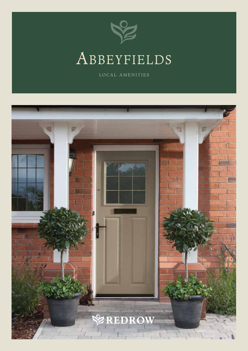

## ABBEYFIELDS

LOCAL AMENITIES

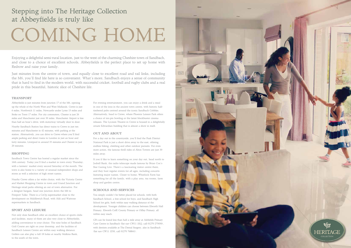#### TRANSPORT

Nearby Sandbach Station has direct trains to Crewe in just ten minutes and Manchester in 42 minutes, with parking at the station. Alternatively, you can drive to Crewe where you'll find ample parking and direct trains to London in just an hour and forty minutes, Liverpool in around 35 minutes and Chester in just 20 minutes

Abbeyfields is just minutes from junction 17 of the M6, opening up the whole of the North West and West Midlands. Crewe is just 6 miles, Northwich 11 miles, Newcastle under Lyme 15 miles and Stoke on Trent 17 miles. For city commuters, Chester is just 26 miles and Manchester just over 30 miles. Manchester Airport is less than half an hour's drive, with motorway virtually door to door.

#### SHOPPING

Sandbach Town Centre has hosted a regular market since the 16th century. Today you'll find a market in town every Thursday, with a farmers' market every second Saturday of the month. The town is also home to a variety of unusual independent shops and stores as well a selection of high street names.

Nearby Crewe offers a far wider choice, with the Victoria Centre and Market Shopping Centre in town and Grand Junction and Heritage retail parks offering an out of town alternative. For a designer bargain, head one junction down the M6 to Freeport Talke. There is a CoOp supermarket close to the development on Middlewich Road, with Aldi and Waitrose supermarkets in Sandbach.

#### SPORT AND LEISURE

Not only does Sandbach offer an excellent choice of sports clubs and facilities, many of them are also very close to Abbeyfields, adding convenience to your choice. The nine holes of Sandbach Golf Course are right on your doorstep, and the facilities of Sandbach Leisure Centre are within easy walking distance. Golfers can also play a full 18 holes at nearby Malkins Bank, to the south of the town.

Enjoying a delightful semi-rural location, just to the west of the charming Cheshire town of Sandbach, and close to a choice of excellent schools, Abbeyfields is the perfect place to set up home with Redrow and raise your family.

Just minutes from the centre of town, and equally close to excellent road and rail links, including the M6, you'll find life here is so convenient. What's more, Sandbach enjoys a sense of community that is hard to find in the modern world, with successful cricket, football and rugby clubs and a real pride in this beautiful, historic slice of Cheshire life.

### Stepping into The Heritage Collection at Abbeyfields is truly like

# COMING HOME



For evening entertainment, you can enjoy a drink and a meal in one of the inns in the ancient town centre, with historic halftimbered pubs centred around the iconic Sandbach Cobbles. Alternatively, head to Crewe, where Phoenix Leisure Park offers a choice of ten-pin bowling or the latest blockbuster cinema releases. The Lyceum Theatre in Crewe is housed in a delightfully ornate Edwardian building that is almost a show in itself.

#### OUT AND ABOUT

For a day out in the countryside, you'll find the Peak District National Park is just a short drive away to the east, offering endless hiking, climbing and other outdoor pursuits. For even more action, the famous thrill rides of Alton Towers are just 30 miles away.

If you'd like to learn something on your day out, head north to Jodrell Bank, the radio telescope made famous by Brian Cox's Star Gazing Live. There's a fascinating visitor centre there, and they host regular events for all ages, including concerts featuring major names. Closer to home, Wheelock Farm has something for all the family, with a play area, tea rooms, farm shop and garden centre.

#### SCHOOLS AND SERVICES

You simply couldn't be better placed for schools, with both Sandbach School, a free school for boys, and Sandbach High School for girls, both within easy walking distance of the development. Younger children can choose between Elworth Hall Primary, Elworth CofE County Primary or Offley Primary, all within easy reach.

GPs can be found less than half a mile away at Ashfields Primary Care Centre in Sandbach (Sat nav CW11 1EQ, call 01270 275050), with dentists available at The Dental Surgery, also in Sandbach (Sat nav CW11 1DH, call 01270 768841).